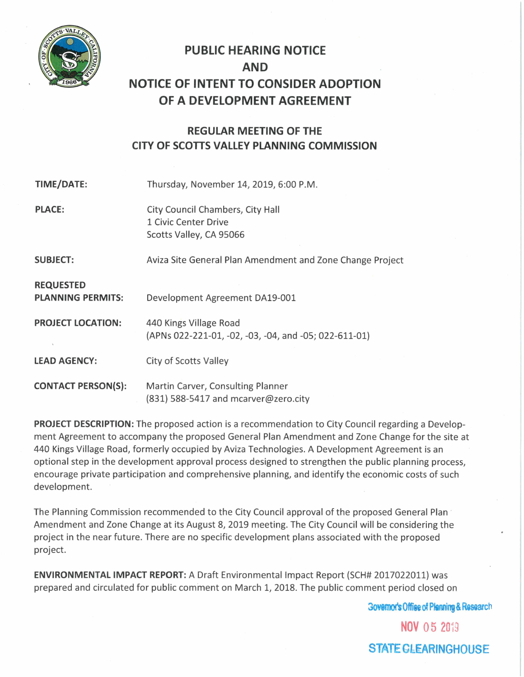

## **PUBLIC HEARING NOTICE AND NOTICE OF INTENT TO CONSIDER ADOPTION OF A DEVELOPMENT AGREEMENT**

## **REGULAR MEETING OF THE CITY OF SCOTTS VALLEY PLANNING COMMISSION**

| TIME/DATE:                                   | Thursday, November 14, 2019, 6:00 P.M.                                              |
|----------------------------------------------|-------------------------------------------------------------------------------------|
| <b>PLACE:</b>                                | City Council Chambers, City Hall<br>1 Civic Center Drive<br>Scotts Valley, CA 95066 |
| <b>SUBJECT:</b>                              | Aviza Site General Plan Amendment and Zone Change Project                           |
| <b>REQUESTED</b><br><b>PLANNING PERMITS:</b> | Development Agreement DA19-001                                                      |
| <b>PROJECT LOCATION:</b>                     | 440 Kings Village Road<br>(APNs 022-221-01, -02, -03, -04, and -05; 022-611-01)     |
| <b>LEAD AGENCY:</b>                          | City of Scotts Valley                                                               |
| <b>CONTACT PERSON(S):</b>                    | Martin Carver, Consulting Planner<br>$(831)$ 588-5417 and mcarver@zero.city         |

**PROJECT DESCRIPTION:** The proposed action is a recommendation to City Council regarding a Development Agreement to accompany the proposed General Plan Amendment and Zone Change for the site at 440 Kings Village Road, formerly occupied by Aviza Technologies. A Development Agreement is an optional step in the development approval process designed to strengthen the public planning process, encourage private participation and comprehensive planning, and identify the economic costs of such development.

The Planning Commission recommended to the City Council approval of the proposed General Plan · Amendment and Zone Change at its August 8, 2019 meeting. The City Council will be considering the project in the near future. There are no specific development plans associated with the proposed project.

**ENVIRONMENTAL IMPACT REPORT:** A Draft Environmental Impact Report (SCH# 2017022011) was prepared and circulated for public comment on March 1, 2018. The public comment period closed on

**3ovemor's Offise of Planning & Research** 

**NOV 05 2019** 

**STATE GLEARINGHOUSE**